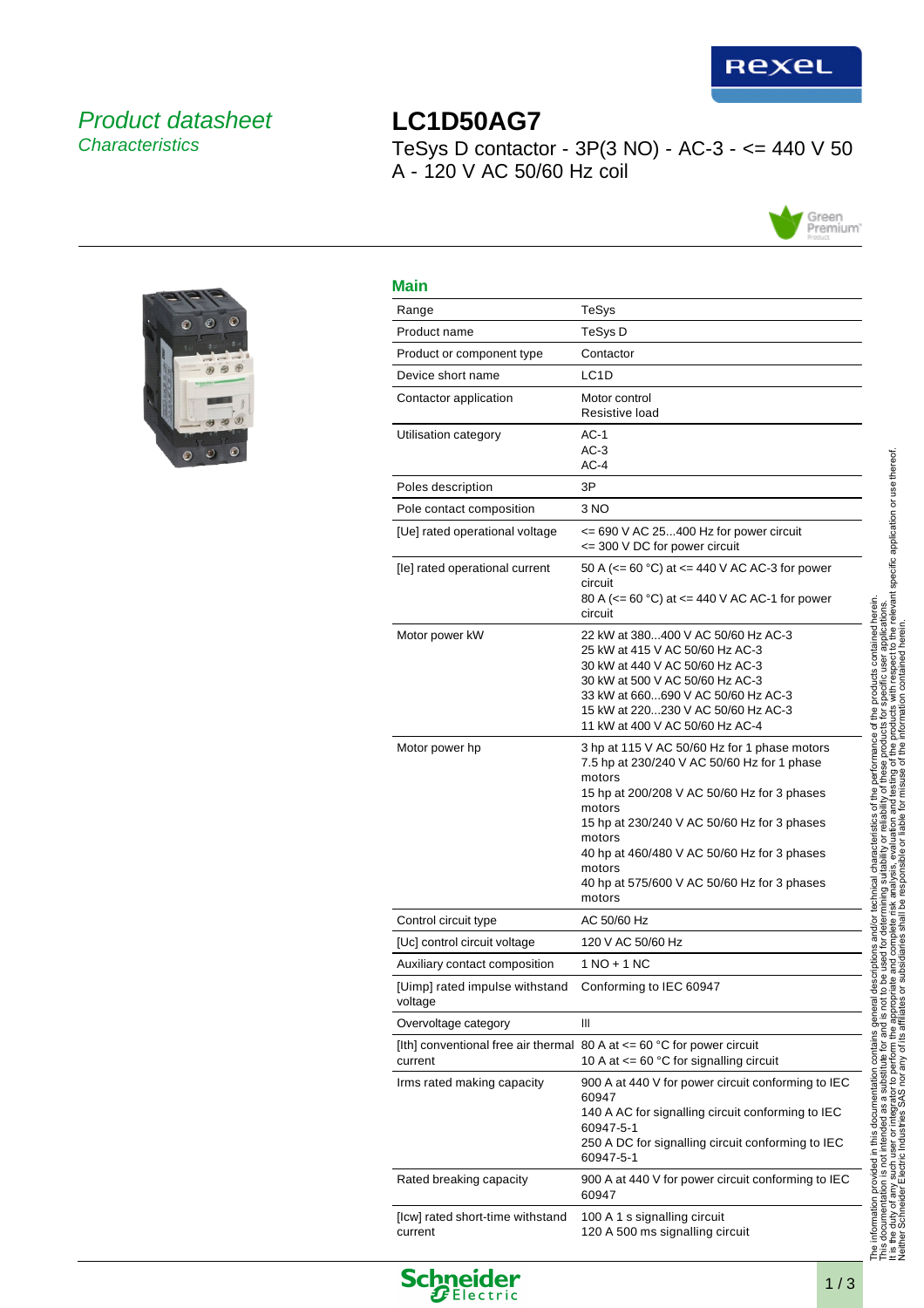

## Product datasheet **Characteristics**

# **LC1D50AG7** TeSys D contactor -  $3P(3 NO)$  - AC-3 - <= 440 V 50 A - 120 V AC 50/60 Hz coil





| <b>Main</b>                                 |                                                                                                                                                                                                                                                                                                                                           |
|---------------------------------------------|-------------------------------------------------------------------------------------------------------------------------------------------------------------------------------------------------------------------------------------------------------------------------------------------------------------------------------------------|
| Range                                       | TeSys                                                                                                                                                                                                                                                                                                                                     |
| Product name                                | TeSys D                                                                                                                                                                                                                                                                                                                                   |
| Product or component type                   | Contactor                                                                                                                                                                                                                                                                                                                                 |
| Device short name                           | LC <sub>1</sub> D                                                                                                                                                                                                                                                                                                                         |
| Contactor application                       | Motor control<br>Resistive load                                                                                                                                                                                                                                                                                                           |
| Utilisation category                        | $AC-1$<br>$AC-3$<br>$AC-4$                                                                                                                                                                                                                                                                                                                |
| Poles description                           | 3P                                                                                                                                                                                                                                                                                                                                        |
| Pole contact composition                    | 3 NO                                                                                                                                                                                                                                                                                                                                      |
| [Ue] rated operational voltage              | $\epsilon$ = 690 V AC 25400 Hz for power circuit<br><= 300 V DC for power circuit                                                                                                                                                                                                                                                         |
| [le] rated operational current              | 50 A ( $\leq$ 60 °C) at $\leq$ 440 V AC AC-3 for power<br>circuit<br>80 A ( $\leq$ = 60 °C) at $\leq$ 440 V AC AC-1 for power<br>circuit                                                                                                                                                                                                  |
| Motor power kW                              | 22 kW at 380400 V AC 50/60 Hz AC-3<br>25 kW at 415 V AC 50/60 Hz AC-3<br>30 kW at 440 V AC 50/60 Hz AC-3<br>30 kW at 500 V AC 50/60 Hz AC-3<br>33 kW at 660690 V AC 50/60 Hz AC-3<br>15 kW at 220230 V AC 50/60 Hz AC-3<br>11 kW at 400 V AC 50/60 Hz AC-4                                                                                |
| Motor power hp                              | 3 hp at 115 V AC 50/60 Hz for 1 phase motors<br>7.5 hp at 230/240 V AC 50/60 Hz for 1 phase<br>motors<br>15 hp at 200/208 V AC 50/60 Hz for 3 phases<br>motors<br>15 hp at 230/240 V AC 50/60 Hz for 3 phases<br>motors<br>40 hp at 460/480 V AC 50/60 Hz for 3 phases<br>motors<br>40 hp at 575/600 V AC 50/60 Hz for 3 phases<br>motors |
| Control circuit type                        | AC 50/60 Hz                                                                                                                                                                                                                                                                                                                               |
| [Uc] control circuit voltage                | 120 V AC 50/60 Hz                                                                                                                                                                                                                                                                                                                         |
| Auxiliary contact composition               | 1 NO + 1 NC                                                                                                                                                                                                                                                                                                                               |
| [Uimp] rated impulse withstand<br>voltage   | Conforming to IEC 60947                                                                                                                                                                                                                                                                                                                   |
| Overvoltage category                        | Ш                                                                                                                                                                                                                                                                                                                                         |
| current                                     | [Ith] conventional free air thermal 80 A at $\leq$ 60 °C for power circuit<br>10 A at $\leq$ 60 °C for signalling circuit                                                                                                                                                                                                                 |
| Irms rated making capacity                  | 900 A at 440 V for power circuit conforming to IEC<br>60947<br>140 A AC for signalling circuit conforming to IEC<br>60947-5-1<br>250 A DC for signalling circuit conforming to IEC<br>60947-5-1                                                                                                                                           |
| Rated breaking capacity                     | 900 A at 440 V for power circuit conforming to IEC<br>60947                                                                                                                                                                                                                                                                               |
| [Icw] rated short-time withstand<br>current | 100 A 1 s signalling circuit<br>120 A 500 ms signalling circuit                                                                                                                                                                                                                                                                           |



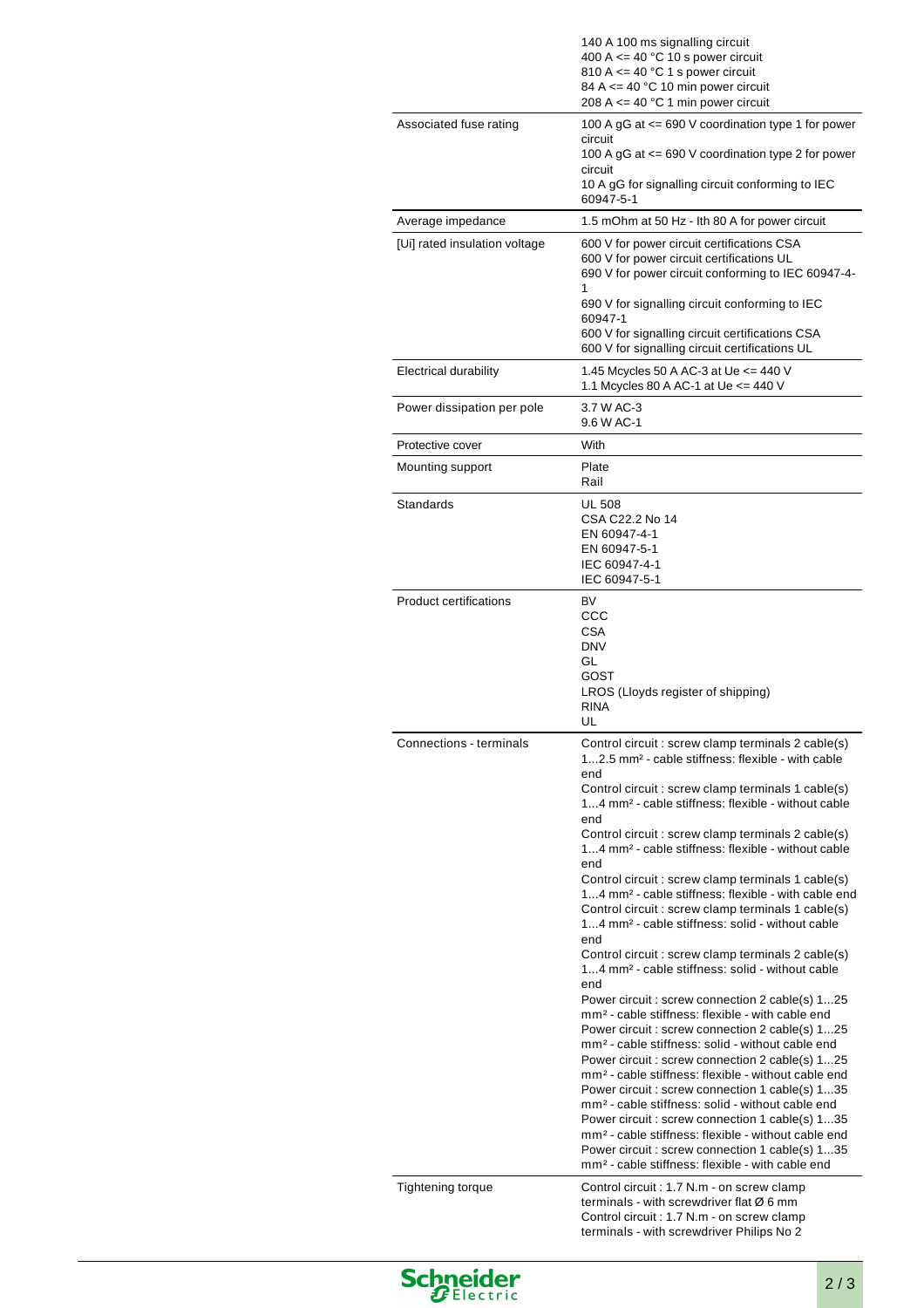|                               | 140 A 100 ms signalling circuit<br>400 A $\leq$ 40 °C 10 s power circuit<br>810 A $\leq$ 40 °C 1 s power circuit<br>84 A $\leq$ 40 °C 10 min power circuit<br>208 A $\leq$ = 40 °C 1 min power circuit                                                                                                                                                                                                                                                                                                                                                                                                                                                                                                                                                                                                                                                                                                                                                                                                                                                                                                                                                                                                                                                                                                                                                                                                                                                                                            |
|-------------------------------|---------------------------------------------------------------------------------------------------------------------------------------------------------------------------------------------------------------------------------------------------------------------------------------------------------------------------------------------------------------------------------------------------------------------------------------------------------------------------------------------------------------------------------------------------------------------------------------------------------------------------------------------------------------------------------------------------------------------------------------------------------------------------------------------------------------------------------------------------------------------------------------------------------------------------------------------------------------------------------------------------------------------------------------------------------------------------------------------------------------------------------------------------------------------------------------------------------------------------------------------------------------------------------------------------------------------------------------------------------------------------------------------------------------------------------------------------------------------------------------------------|
| Associated fuse rating        | 100 A gG at <= 690 V coordination type 1 for power<br>circuit<br>100 A gG at <= 690 V coordination type 2 for power<br>circuit<br>10 A gG for signalling circuit conforming to IEC<br>60947-5-1                                                                                                                                                                                                                                                                                                                                                                                                                                                                                                                                                                                                                                                                                                                                                                                                                                                                                                                                                                                                                                                                                                                                                                                                                                                                                                   |
| Average impedance             | 1.5 mOhm at 50 Hz - Ith 80 A for power circuit                                                                                                                                                                                                                                                                                                                                                                                                                                                                                                                                                                                                                                                                                                                                                                                                                                                                                                                                                                                                                                                                                                                                                                                                                                                                                                                                                                                                                                                    |
| [Ui] rated insulation voltage | 600 V for power circuit certifications CSA<br>600 V for power circuit certifications UL<br>690 V for power circuit conforming to IEC 60947-4-<br>690 V for signalling circuit conforming to IEC                                                                                                                                                                                                                                                                                                                                                                                                                                                                                                                                                                                                                                                                                                                                                                                                                                                                                                                                                                                                                                                                                                                                                                                                                                                                                                   |
|                               | 60947-1<br>600 V for signalling circuit certifications CSA<br>600 V for signalling circuit certifications UL                                                                                                                                                                                                                                                                                                                                                                                                                                                                                                                                                                                                                                                                                                                                                                                                                                                                                                                                                                                                                                                                                                                                                                                                                                                                                                                                                                                      |
| <b>Electrical durability</b>  | 1.45 Mcycles 50 A AC-3 at Ue <= 440 V<br>1.1 Mcycles 80 A AC-1 at Ue $\leq$ 440 V                                                                                                                                                                                                                                                                                                                                                                                                                                                                                                                                                                                                                                                                                                                                                                                                                                                                                                                                                                                                                                                                                                                                                                                                                                                                                                                                                                                                                 |
| Power dissipation per pole    | 3.7 W AC-3<br>9.6 W AC-1                                                                                                                                                                                                                                                                                                                                                                                                                                                                                                                                                                                                                                                                                                                                                                                                                                                                                                                                                                                                                                                                                                                                                                                                                                                                                                                                                                                                                                                                          |
| Protective cover              | With                                                                                                                                                                                                                                                                                                                                                                                                                                                                                                                                                                                                                                                                                                                                                                                                                                                                                                                                                                                                                                                                                                                                                                                                                                                                                                                                                                                                                                                                                              |
| Mounting support              | Plate<br>Rail                                                                                                                                                                                                                                                                                                                                                                                                                                                                                                                                                                                                                                                                                                                                                                                                                                                                                                                                                                                                                                                                                                                                                                                                                                                                                                                                                                                                                                                                                     |
| Standards                     | <b>UL 508</b><br>CSA C22.2 No 14<br>EN 60947-4-1<br>EN 60947-5-1<br>IEC 60947-4-1<br>IEC 60947-5-1                                                                                                                                                                                                                                                                                                                                                                                                                                                                                                                                                                                                                                                                                                                                                                                                                                                                                                                                                                                                                                                                                                                                                                                                                                                                                                                                                                                                |
|                               | ссс<br>CSA<br><b>DNV</b><br>GL<br>GOST<br>LROS (Lloyds register of shipping)<br><b>RINA</b><br>UL                                                                                                                                                                                                                                                                                                                                                                                                                                                                                                                                                                                                                                                                                                                                                                                                                                                                                                                                                                                                                                                                                                                                                                                                                                                                                                                                                                                                 |
| Connections - terminals       | Control circuit : screw clamp terminals 2 cable(s)<br>12.5 mm <sup>2</sup> - cable stiffness: flexible - with cable<br>end<br>Control circuit : screw clamp terminals 1 cable(s)<br>14 mm <sup>2</sup> - cable stiffness: flexible - without cable<br>end<br>Control circuit : screw clamp terminals 2 cable(s)<br>14 mm <sup>2</sup> - cable stiffness: flexible - without cable<br>end<br>Control circuit : screw clamp terminals 1 cable(s)<br>14 mm <sup>2</sup> - cable stiffness: flexible - with cable end<br>Control circuit : screw clamp terminals 1 cable(s)<br>14 mm <sup>2</sup> - cable stiffness: solid - without cable<br>end<br>Control circuit : screw clamp terminals 2 cable(s)<br>14 mm <sup>2</sup> - cable stiffness: solid - without cable<br>end<br>Power circuit : screw connection 2 cable(s) 125<br>mm <sup>2</sup> - cable stiffness: flexible - with cable end<br>Power circuit : screw connection 2 cable(s) 125<br>mm <sup>2</sup> - cable stiffness: solid - without cable end<br>Power circuit : screw connection 2 cable(s) 125<br>mm <sup>2</sup> - cable stiffness: flexible - without cable end<br>Power circuit : screw connection 1 cable(s) 135<br>mm <sup>2</sup> - cable stiffness: solid - without cable end<br>Power circuit : screw connection 1 cable(s) 135<br>mm <sup>2</sup> - cable stiffness: flexible - without cable end<br>Power circuit : screw connection 1 cable(s) 135<br>mm <sup>2</sup> - cable stiffness: flexible - with cable end |
| <b>Tightening torque</b>      | Control circuit : 1.7 N.m - on screw clamp<br>terminals - with screwdriver flat $\varnothing$ 6 mm<br>Control circuit : 1.7 N.m - on screw clamp<br>terminals - with screwdriver Philips No 2                                                                                                                                                                                                                                                                                                                                                                                                                                                                                                                                                                                                                                                                                                                                                                                                                                                                                                                                                                                                                                                                                                                                                                                                                                                                                                     |